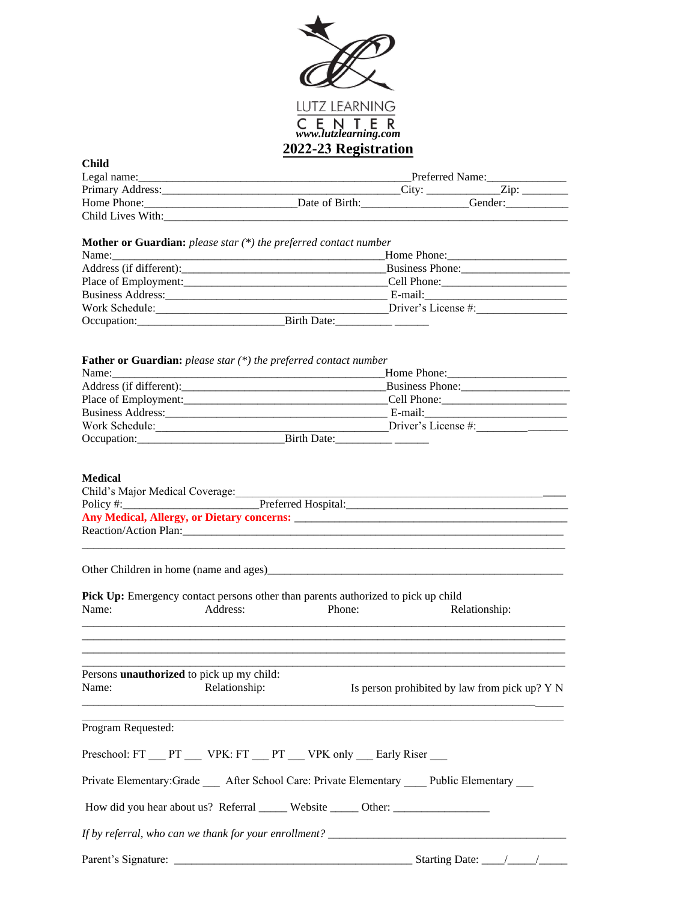

| <b>Child</b>                                                                                                                                                                                                                   |               | V <i>44-4</i> J RUZIDU GUUN |                                               |
|--------------------------------------------------------------------------------------------------------------------------------------------------------------------------------------------------------------------------------|---------------|-----------------------------|-----------------------------------------------|
|                                                                                                                                                                                                                                |               |                             |                                               |
|                                                                                                                                                                                                                                |               |                             |                                               |
|                                                                                                                                                                                                                                |               |                             |                                               |
|                                                                                                                                                                                                                                |               |                             |                                               |
|                                                                                                                                                                                                                                |               |                             |                                               |
| <b>Mother or Guardian:</b> please star $(*)$ the preferred contact number                                                                                                                                                      |               |                             |                                               |
|                                                                                                                                                                                                                                |               |                             |                                               |
|                                                                                                                                                                                                                                |               |                             |                                               |
|                                                                                                                                                                                                                                |               |                             |                                               |
|                                                                                                                                                                                                                                |               |                             |                                               |
|                                                                                                                                                                                                                                |               |                             |                                               |
|                                                                                                                                                                                                                                |               |                             |                                               |
| Father or Guardian: please star (*) the preferred contact number                                                                                                                                                               |               |                             |                                               |
|                                                                                                                                                                                                                                |               |                             | Home Phone: 1988                              |
| Address (if different): Business Phone: Business Phone:                                                                                                                                                                        |               |                             |                                               |
|                                                                                                                                                                                                                                |               |                             |                                               |
|                                                                                                                                                                                                                                |               |                             |                                               |
|                                                                                                                                                                                                                                |               |                             |                                               |
| Work Schedule:                                                                                                                                                                                                                 |               |                             | $\frac{1}{2}$ Driver's License #:             |
|                                                                                                                                                                                                                                |               |                             |                                               |
|                                                                                                                                                                                                                                |               |                             |                                               |
| <b>Medical</b>                                                                                                                                                                                                                 |               |                             |                                               |
|                                                                                                                                                                                                                                |               |                             |                                               |
|                                                                                                                                                                                                                                |               |                             |                                               |
|                                                                                                                                                                                                                                |               |                             |                                               |
| Reaction/Action Plan: 2008 and 2008 and 2008 and 2008 and 2008 and 2008 and 2008 and 2008 and 2008 and 2008 and 2008 and 2008 and 2008 and 2008 and 2008 and 2008 and 2008 and 2008 and 2008 and 2008 and 2008 and 2008 and 20 |               |                             |                                               |
|                                                                                                                                                                                                                                |               |                             |                                               |
| Other Children in home (name and ages)<br><u>Letter and ages</u>                                                                                                                                                               |               |                             |                                               |
| Pick Up: Emergency contact persons other than parents authorized to pick up child                                                                                                                                              |               |                             |                                               |
| Name:<br>Address:                                                                                                                                                                                                              | Phone:        |                             | Relationship:                                 |
|                                                                                                                                                                                                                                |               |                             |                                               |
|                                                                                                                                                                                                                                |               |                             |                                               |
|                                                                                                                                                                                                                                |               |                             |                                               |
| Persons unauthorized to pick up my child:                                                                                                                                                                                      |               |                             |                                               |
| Name:                                                                                                                                                                                                                          | Relationship: |                             | Is person prohibited by law from pick up? Y N |
|                                                                                                                                                                                                                                |               |                             |                                               |
| Program Requested:                                                                                                                                                                                                             |               |                             |                                               |
| Preschool: FT PT VPK: FT PT VPK only Early Riser                                                                                                                                                                               |               |                             |                                               |
| Private Elementary:Grade ___ After School Care: Private Elementary ___ Public Elementary                                                                                                                                       |               |                             |                                               |
| How did you hear about us? Referral ______ Website ______ Other: ________________                                                                                                                                              |               |                             |                                               |
|                                                                                                                                                                                                                                |               |                             |                                               |
|                                                                                                                                                                                                                                |               |                             |                                               |
|                                                                                                                                                                                                                                |               |                             |                                               |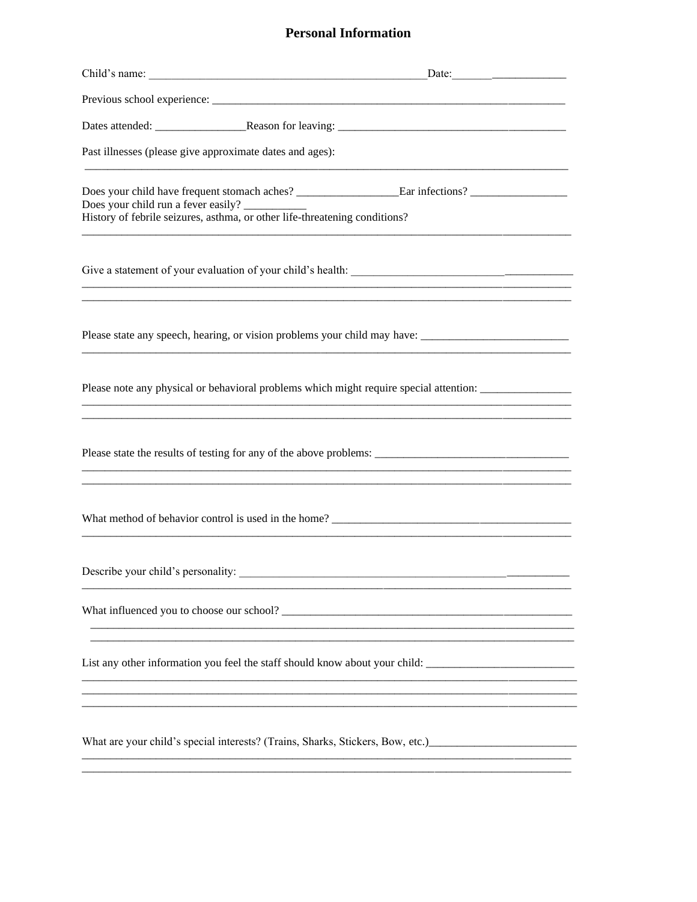## **Personal Information**

|                                                          | Date: $\qquad \qquad$                                                                                |
|----------------------------------------------------------|------------------------------------------------------------------------------------------------------|
|                                                          |                                                                                                      |
|                                                          |                                                                                                      |
| Past illnesses (please give approximate dates and ages): |                                                                                                      |
| Does your child run a fever easily? ____________         | History of febrile seizures, asthma, or other life-threatening conditions?                           |
|                                                          |                                                                                                      |
|                                                          | Please state any speech, hearing, or vision problems your child may have: __________________________ |
|                                                          | Please note any physical or behavioral problems which might require special attention: _____________ |
|                                                          |                                                                                                      |
|                                                          | What method of behavior control is used in the home?                                                 |
| Describe your child's personality:                       |                                                                                                      |
|                                                          |                                                                                                      |
|                                                          | List any other information you feel the staff should know about your child:                          |
|                                                          |                                                                                                      |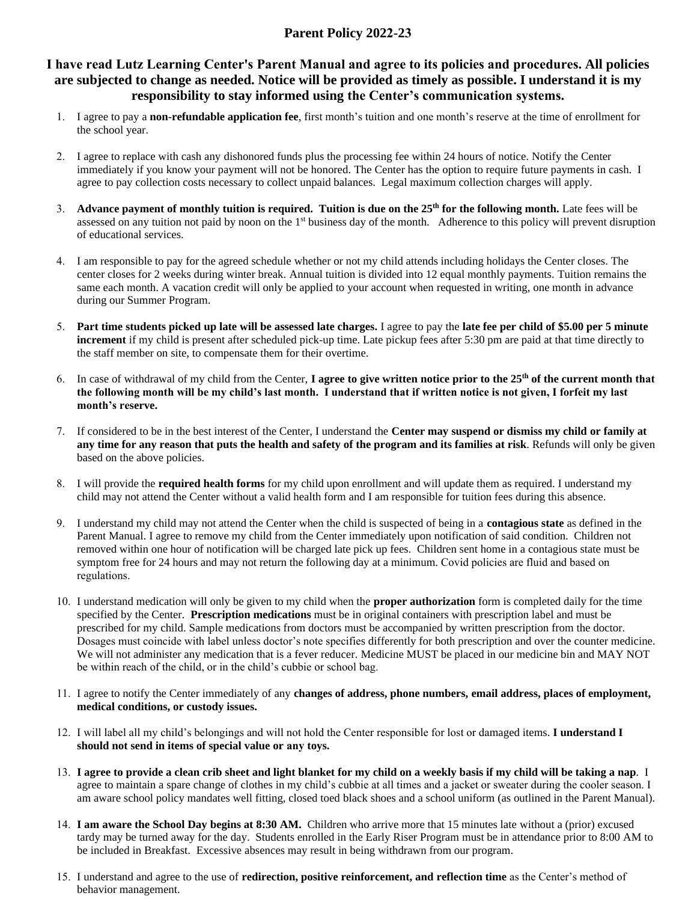## **Parent Policy 2022-23**

## **I have read Lutz Learning Center's Parent Manual and agree to its policies and procedures. All policies are subjected to change as needed. Notice will be provided as timely as possible. I understand it is my responsibility to stay informed using the Center's communication systems.**

- 1. I agree to pay a **non-refundable application fee**, first month's tuition and one month's reserve at the time of enrollment for the school year.
- 2. I agree to replace with cash any dishonored funds plus the processing fee within 24 hours of notice. Notify the Center immediately if you know your payment will not be honored. The Center has the option to require future payments in cash. I agree to pay collection costs necessary to collect unpaid balances. Legal maximum collection charges will apply.
- 3. **Advance payment of monthly tuition is required. Tuition is due on the 25th for the following month.** Late fees will be assessed on any tuition not paid by noon on the 1<sup>st</sup> business day of the month. Adherence to this policy will prevent disruption of educational services.
- 4. I am responsible to pay for the agreed schedule whether or not my child attends including holidays the Center closes. The center closes for 2 weeks during winter break. Annual tuition is divided into 12 equal monthly payments. Tuition remains the same each month. A vacation credit will only be applied to your account when requested in writing, one month in advance during our Summer Program.
- 5. **Part time students picked up late will be assessed late charges.** I agree to pay the **late fee per child of \$5.00 per 5 minute increment** if my child is present after scheduled pick-up time. Late pickup fees after 5:30 pm are paid at that time directly to the staff member on site, to compensate them for their overtime.
- 6. In case of withdrawal of my child from the Center, **I agree to give written notice prior to the 25th of the current month that the following month will be my child's last month. I understand that if written notice is not given, I forfeit my last month's reserve.**
- 7. If considered to be in the best interest of the Center, I understand the **Center may suspend or dismiss my child or family at any time for any reason that puts the health and safety of the program and its families at risk**. Refunds will only be given based on the above policies.
- 8. I will provide the **required health forms** for my child upon enrollment and will update them as required. I understand my child may not attend the Center without a valid health form and I am responsible for tuition fees during this absence.
- 9. I understand my child may not attend the Center when the child is suspected of being in a **contagious state** as defined in the Parent Manual. I agree to remove my child from the Center immediately upon notification of said condition. Children not removed within one hour of notification will be charged late pick up fees. Children sent home in a contagious state must be symptom free for 24 hours and may not return the following day at a minimum. Covid policies are fluid and based on regulations.
- 10. I understand medication will only be given to my child when the **proper authorization** form is completed daily for the time specified by the Center. **Prescription medications** must be in original containers with prescription label and must be prescribed for my child. Sample medications from doctors must be accompanied by written prescription from the doctor. Dosages must coincide with label unless doctor's note specifies differently for both prescription and over the counter medicine. We will not administer any medication that is a fever reducer. Medicine MUST be placed in our medicine bin and MAY NOT be within reach of the child, or in the child's cubbie or school bag.
- 11. I agree to notify the Center immediately of any **changes of address, phone numbers, email address, places of employment, medical conditions, or custody issues.**
- 12. I will label all my child's belongings and will not hold the Center responsible for lost or damaged items. **I understand I should not send in items of special value or any toys.**
- 13. **I agree to provide a clean crib sheet and light blanket for my child on a weekly basis if my child will be taking a nap**. I agree to maintain a spare change of clothes in my child's cubbie at all times and a jacket or sweater during the cooler season. I am aware school policy mandates well fitting, closed toed black shoes and a school uniform (as outlined in the Parent Manual).
- 14. **I am aware the School Day begins at 8:30 AM.** Children who arrive more that 15 minutes late without a (prior) excused tardy may be turned away for the day. Students enrolled in the Early Riser Program must be in attendance prior to 8:00 AM to be included in Breakfast. Excessive absences may result in being withdrawn from our program.
- 15. I understand and agree to the use of **redirection, positive reinforcement, and reflection time** as the Center's method of behavior management.